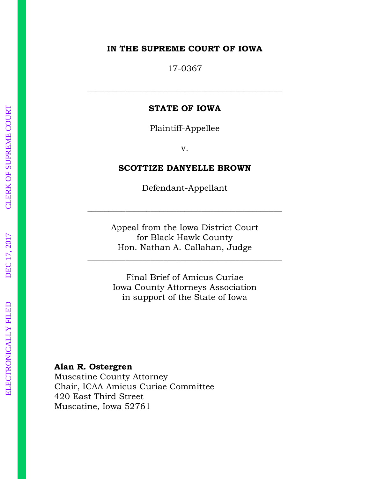#### **IN THE SUPREME COURT OF IOWA**

17-0367

#### **STATE OF IOWA**

\_\_\_\_\_\_\_\_\_\_\_\_\_\_\_\_\_\_\_\_\_\_\_\_\_\_\_\_\_\_\_\_\_\_\_\_\_\_\_\_\_\_\_\_\_\_

Plaintiff-Appellee

v.

#### **SCOTTIZE DANYELLE BROWN**

Defendant-Appellant

\_\_\_\_\_\_\_\_\_\_\_\_\_\_\_\_\_\_\_\_\_\_\_\_\_\_\_\_\_\_\_\_\_\_\_\_\_\_\_\_\_\_\_\_\_\_

Appeal from the Iowa District Court for Black Hawk County Hon. Nathan A. Callahan, Judge

\_\_\_\_\_\_\_\_\_\_\_\_\_\_\_\_\_\_\_\_\_\_\_\_\_\_\_\_\_\_\_\_\_\_\_\_\_\_\_\_\_\_\_\_\_\_

Final Brief of Amicus Curiae Iowa County Attorneys Association in support of the State of Iowa

#### **Alan R. Ostergren**

Muscatine County Attorney Chair, ICAA Amicus Curiae Committee 420 East Third Street Muscatine, Iowa 52761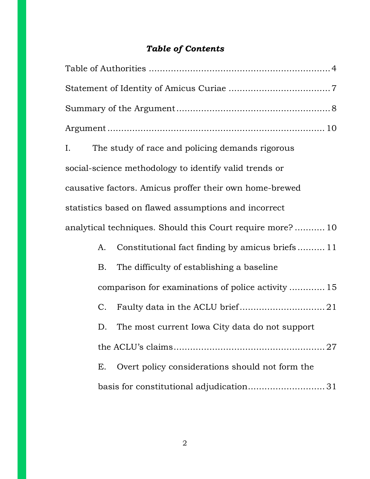### *Table of Contents*

| I. Question of the contract of the contract of the contract of the contract of the contract of the contract of<br>in the contract of the contract of the contract of the contract of the contract of the contract of the contra |    | The study of race and policing demands rigorous           |  |  |  |
|---------------------------------------------------------------------------------------------------------------------------------------------------------------------------------------------------------------------------------|----|-----------------------------------------------------------|--|--|--|
|                                                                                                                                                                                                                                 |    | social-science methodology to identify valid trends or    |  |  |  |
|                                                                                                                                                                                                                                 |    | causative factors. Amicus proffer their own home-brewed   |  |  |  |
|                                                                                                                                                                                                                                 |    | statistics based on flawed assumptions and incorrect      |  |  |  |
|                                                                                                                                                                                                                                 |    | analytical techniques. Should this Court require more? 10 |  |  |  |
|                                                                                                                                                                                                                                 | A. | Constitutional fact finding by amicus briefs11            |  |  |  |
|                                                                                                                                                                                                                                 | B. | The difficulty of establishing a baseline                 |  |  |  |
|                                                                                                                                                                                                                                 |    | comparison for examinations of police activity  15        |  |  |  |
|                                                                                                                                                                                                                                 | C. |                                                           |  |  |  |
|                                                                                                                                                                                                                                 | D. | The most current Iowa City data do not support            |  |  |  |
|                                                                                                                                                                                                                                 |    |                                                           |  |  |  |
|                                                                                                                                                                                                                                 | E. | Overt policy considerations should not form the           |  |  |  |
|                                                                                                                                                                                                                                 |    |                                                           |  |  |  |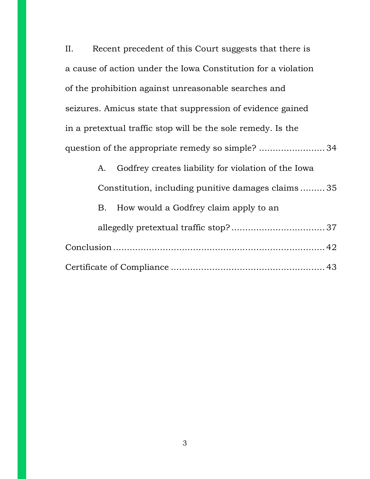II. Recent precedent of this Court suggests that there is a cause of action under the Iowa Constitution for a violation of the prohibition against unreasonable searches and seizures. Amicus state that suppression of evidence gained in a pretextual traffic stop will be the sole remedy. Is the question of the appropriate remedy so simple? ........................ 34

| A. | Godfrey creates liability for violation of the Iowa |  |
|----|-----------------------------------------------------|--|
|    | Constitution, including punitive damages claims35   |  |
|    | B. How would a Godfrey claim apply to an            |  |
|    |                                                     |  |
|    |                                                     |  |
|    |                                                     |  |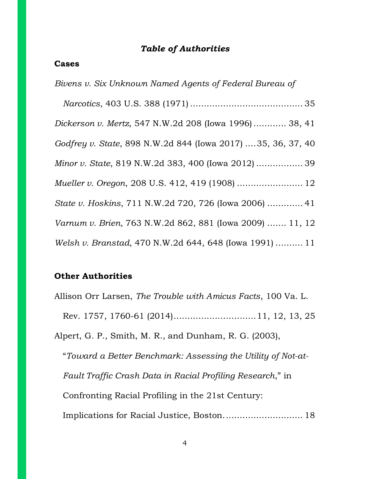### *Table of Authorities*

#### **Cases**

| Bivens v. Six Unknown Named Agents of Federal Bureau of     |
|-------------------------------------------------------------|
|                                                             |
| Dickerson v. Mertz, 547 N.W.2d 208 (Iowa 1996) 38, 41       |
| Godfrey v. State, 898 N.W.2d 844 (Iowa 2017) 35, 36, 37, 40 |
| Minor v. State, 819 N.W.2d 383, 400 (Iowa 2012)  39         |
| Mueller v. Oregon, 208 U.S. 412, 419 (1908)  12             |
| State v. Hoskins, 711 N.W.2d 720, 726 (Iowa 2006)  41       |
| Varnum v. Brien, 763 N.W.2d 862, 881 (Iowa 2009)  11, 12    |
| Welsh v. Branstad, 470 N.W.2d 644, 648 (Iowa 1991)  11      |

### **Other Authorities**

Allison Orr Larsen, *The Trouble with Amicus Facts*, 100 Va. L. Rev. 1757, 1760-61 (2014) .............................. 11, 12, 13, 25

Alpert, G. P., Smith, M. R., and Dunham, R. G. (2003),

"*Toward a Better Benchmark: Assessing the Utility of Not-at-Fault Traffic Crash Data in Racial Profiling Research*," in Confronting Racial Profiling in the 21st Century: Implications for Racial Justice, Boston. ............................ 18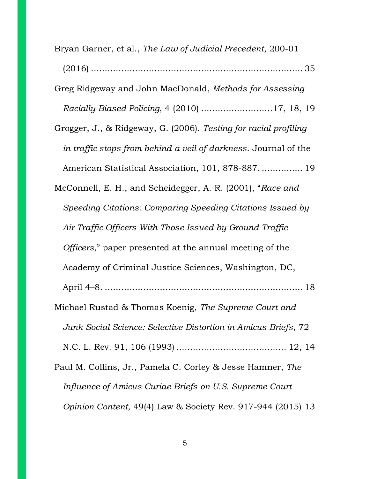| Bryan Garner, et al., The Law of Judicial Precedent, 200-01            |
|------------------------------------------------------------------------|
|                                                                        |
| Greg Ridgeway and John MacDonald, Methods for Assessing                |
| Racially Biased Policing, 4 (2010) 17, 18, 19                          |
| Grogger, J., & Ridgeway, G. (2006). Testing for racial profiling       |
| in traffic stops from behind a veil of darkness. Journal of the        |
| American Statistical Association, 101, 878-887.  19                    |
| McConnell, E. H., and Scheidegger, A. R. (2001), "Race and             |
| Speeding Citations: Comparing Speeding Citations Issued by             |
| Air Traffic Officers With Those Issued by Ground Traffic               |
| Officers," paper presented at the annual meeting of the                |
| Academy of Criminal Justice Sciences, Washington, DC,                  |
|                                                                        |
| Michael Rustad & Thomas Koenig, The Supreme Court and                  |
| Junk Social Science: Selective Distortion in Amicus Briefs, 72         |
|                                                                        |
| Paul M. Collins, Jr., Pamela C. Corley & Jesse Hamner, The             |
| Influence of Amicus Curiae Briefs on U.S. Supreme Court                |
| <i>Opinion Content, 49(4) Law &amp; Society Rev. 917-944 (2015) 13</i> |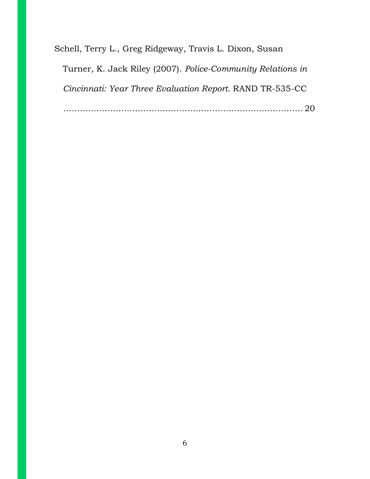Schell, Terry L., Greg Ridgeway, Travis L. Dixon, Susan Turner, K. Jack Riley (2007). *Police-Community Relations in Cincinnati: Year Three Evaluation Report.* RAND TR-535-CC ....................................................................................... 20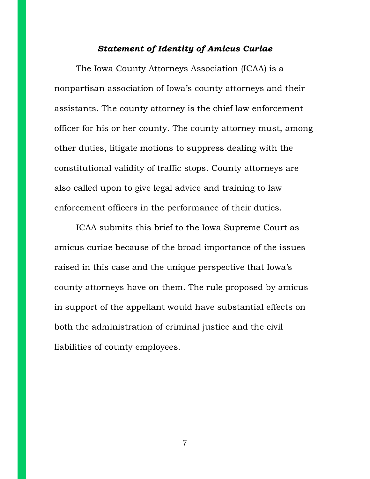#### *Statement of Identity of Amicus Curiae*

The Iowa County Attorneys Association (ICAA) is a nonpartisan association of Iowa's county attorneys and their assistants. The county attorney is the chief law enforcement officer for his or her county. The county attorney must, among other duties, litigate motions to suppress dealing with the constitutional validity of traffic stops. County attorneys are also called upon to give legal advice and training to law enforcement officers in the performance of their duties.

ICAA submits this brief to the Iowa Supreme Court as amicus curiae because of the broad importance of the issues raised in this case and the unique perspective that Iowa's county attorneys have on them. The rule proposed by amicus in support of the appellant would have substantial effects on both the administration of criminal justice and the civil liabilities of county employees.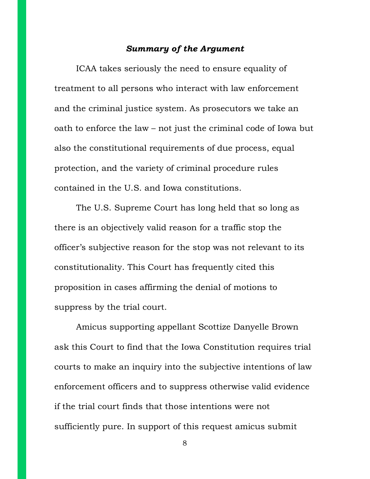### *Summary of the Argument*

ICAA takes seriously the need to ensure equality of treatment to all persons who interact with law enforcement and the criminal justice system. As prosecutors we take an oath to enforce the law – not just the criminal code of Iowa but also the constitutional requirements of due process, equal protection, and the variety of criminal procedure rules contained in the U.S. and Iowa constitutions.

The U.S. Supreme Court has long held that so long as there is an objectively valid reason for a traffic stop the officer's subjective reason for the stop was not relevant to its constitutionality. This Court has frequently cited this proposition in cases affirming the denial of motions to suppress by the trial court.

Amicus supporting appellant Scottize Danyelle Brown ask this Court to find that the Iowa Constitution requires trial courts to make an inquiry into the subjective intentions of law enforcement officers and to suppress otherwise valid evidence if the trial court finds that those intentions were not sufficiently pure. In support of this request amicus submit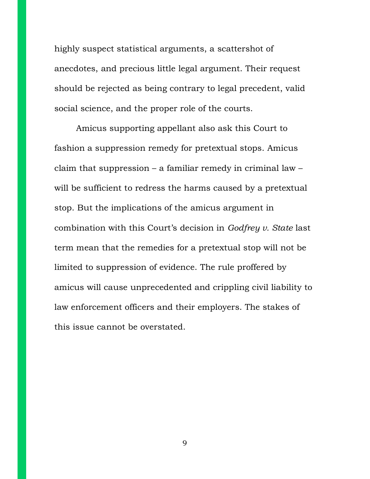highly suspect statistical arguments, a scattershot of anecdotes, and precious little legal argument. Their request should be rejected as being contrary to legal precedent, valid social science, and the proper role of the courts.

Amicus supporting appellant also ask this Court to fashion a suppression remedy for pretextual stops. Amicus claim that suppression – a familiar remedy in criminal law – will be sufficient to redress the harms caused by a pretextual stop. But the implications of the amicus argument in combination with this Court's decision in *Godfrey v. State* last term mean that the remedies for a pretextual stop will not be limited to suppression of evidence. The rule proffered by amicus will cause unprecedented and crippling civil liability to law enforcement officers and their employers. The stakes of this issue cannot be overstated.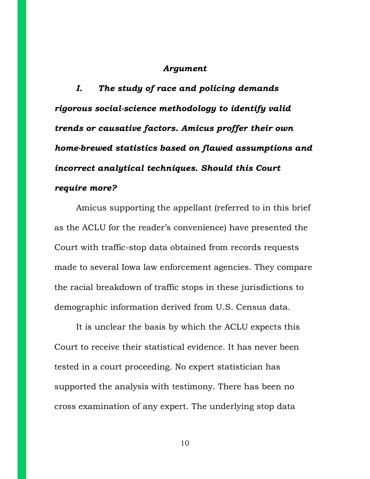#### *Argument*

*I. The study of race and policing demands rigorous social-science methodology to identify valid trends or causative factors. Amicus proffer their own home-brewed statistics based on flawed assumptions and incorrect analytical techniques. Should this Court require more?*

Amicus supporting the appellant (referred to in this brief as the ACLU for the reader's convenience) have presented the Court with traffic-stop data obtained from records requests made to several Iowa law enforcement agencies. They compare the racial breakdown of traffic stops in these jurisdictions to demographic information derived from U.S. Census data.

It is unclear the basis by which the ACLU expects this Court to receive their statistical evidence. It has never been tested in a court proceeding. No expert statistician has supported the analysis with testimony. There has been no cross examination of any expert. The underlying stop data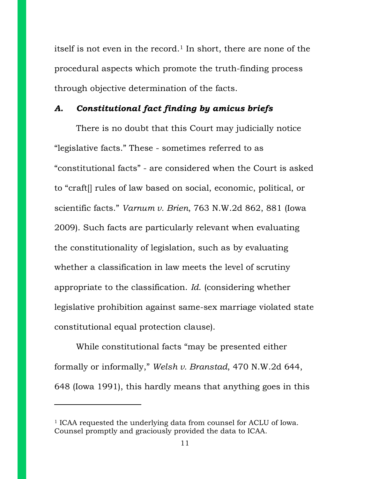itself is not even in the record.<sup>1</sup> In short, there are none of the procedural aspects which promote the truth-finding process through objective determination of the facts.

### *A. Constitutional fact finding by amicus briefs*

There is no doubt that this Court may judicially notice "legislative facts." These - sometimes referred to as "constitutional facts" - are considered when the Court is asked to "craft[] rules of law based on social, economic, political, or scientific facts." *Varnum v. Brien*, 763 N.W.2d 862, 881 (Iowa 2009). Such facts are particularly relevant when evaluating the constitutionality of legislation, such as by evaluating whether a classification in law meets the level of scrutiny appropriate to the classification. *Id*. (considering whether legislative prohibition against same-sex marriage violated state constitutional equal protection clause).

While constitutional facts "may be presented either formally or informally," *Welsh v. Branstad*, 470 N.W.2d 644, 648 (Iowa 1991), this hardly means that anything goes in this

<sup>1</sup> ICAA requested the underlying data from counsel for ACLU of Iowa. Counsel promptly and graciously provided the data to ICAA.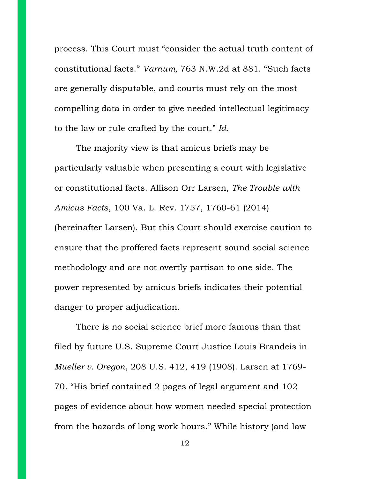process. This Court must "consider the actual truth content of constitutional facts." *Varnum*, 763 N.W.2d at 881. "Such facts are generally disputable, and courts must rely on the most compelling data in order to give needed intellectual legitimacy to the law or rule crafted by the court." *Id.*

The majority view is that amicus briefs may be particularly valuable when presenting a court with legislative or constitutional facts. Allison Orr Larsen, *The Trouble with Amicus Facts*, 100 Va. L. Rev. 1757, 1760-61 (2014) (hereinafter Larsen). But this Court should exercise caution to ensure that the proffered facts represent sound social science methodology and are not overtly partisan to one side. The power represented by amicus briefs indicates their potential danger to proper adjudication.

There is no social science brief more famous than that filed by future U.S. Supreme Court Justice Louis Brandeis in *Mueller v. Oregon*, 208 U.S. 412, 419 (1908). Larsen at 1769- 70. "His brief contained 2 pages of legal argument and 102 pages of evidence about how women needed special protection from the hazards of long work hours." While history (and law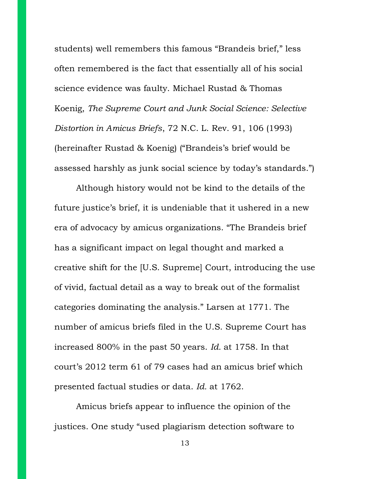students) well remembers this famous "Brandeis brief," less often remembered is the fact that essentially all of his social science evidence was faulty. Michael Rustad & Thomas Koenig, *The Supreme Court and Junk Social Science: Selective Distortion in Amicus Briefs*, 72 N.C. L. Rev. 91, 106 (1993) (hereinafter Rustad & Koenig) ("Brandeis's brief would be assessed harshly as junk social science by today's standards.")

Although history would not be kind to the details of the future justice's brief, it is undeniable that it ushered in a new era of advocacy by amicus organizations. "The Brandeis brief has a significant impact on legal thought and marked a creative shift for the [U.S. Supreme] Court, introducing the use of vivid, factual detail as a way to break out of the formalist categories dominating the analysis." Larsen at 1771. The number of amicus briefs filed in the U.S. Supreme Court has increased 800% in the past 50 years. *Id.* at 1758. In that court's 2012 term 61 of 79 cases had an amicus brief which presented factual studies or data. *Id.* at 1762.

Amicus briefs appear to influence the opinion of the justices. One study "used plagiarism detection software to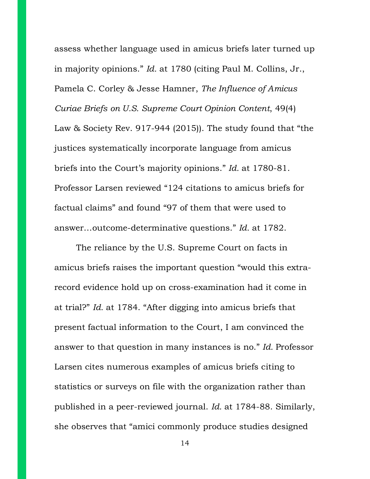assess whether language used in amicus briefs later turned up in majority opinions." *Id.* at 1780 (citing Paul M. Collins, Jr., Pamela C. Corley & Jesse Hamner, *The Influence of Amicus Curiae Briefs on U.S. Supreme Court Opinion Content*, 49(4) Law & Society Rev. 917-944 (2015)). The study found that "the justices systematically incorporate language from amicus briefs into the Court's majority opinions." *Id.* at 1780-81. Professor Larsen reviewed "124 citations to amicus briefs for factual claims" and found "97 of them that were used to answer…outcome-determinative questions." *Id.* at 1782.

The reliance by the U.S. Supreme Court on facts in amicus briefs raises the important question "would this extrarecord evidence hold up on cross-examination had it come in at trial?" *Id.* at 1784. "After digging into amicus briefs that present factual information to the Court, I am convinced the answer to that question in many instances is no." *Id.* Professor Larsen cites numerous examples of amicus briefs citing to statistics or surveys on file with the organization rather than published in a peer-reviewed journal. *Id.* at 1784-88. Similarly, she observes that "amici commonly produce studies designed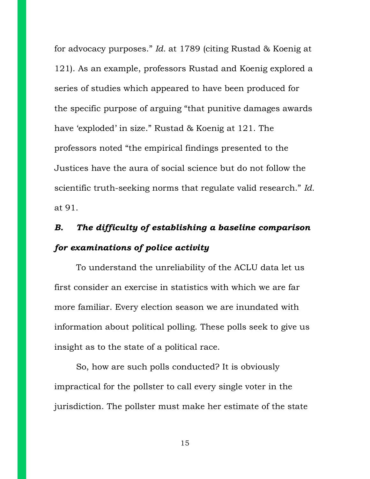for advocacy purposes." *Id.* at 1789 (citing Rustad & Koenig at 121). As an example, professors Rustad and Koenig explored a series of studies which appeared to have been produced for the specific purpose of arguing "that punitive damages awards have 'exploded' in size." Rustad & Koenig at 121. The professors noted "the empirical findings presented to the Justices have the aura of social science but do not follow the scientific truth-seeking norms that regulate valid research." *Id.* at 91.

# *B. The difficulty of establishing a baseline comparison for examinations of police activity*

To understand the unreliability of the ACLU data let us first consider an exercise in statistics with which we are far more familiar. Every election season we are inundated with information about political polling. These polls seek to give us insight as to the state of a political race.

So, how are such polls conducted? It is obviously impractical for the pollster to call every single voter in the jurisdiction. The pollster must make her estimate of the state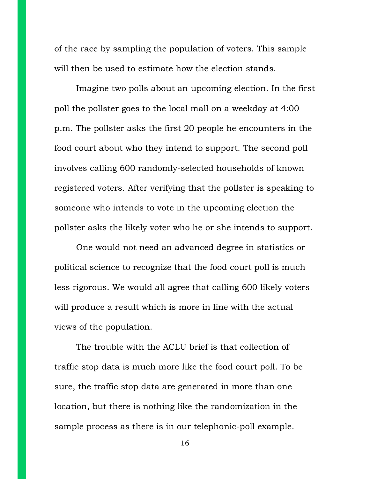of the race by sampling the population of voters. This sample will then be used to estimate how the election stands.

Imagine two polls about an upcoming election. In the first poll the pollster goes to the local mall on a weekday at 4:00 p.m. The pollster asks the first 20 people he encounters in the food court about who they intend to support. The second poll involves calling 600 randomly-selected households of known registered voters. After verifying that the pollster is speaking to someone who intends to vote in the upcoming election the pollster asks the likely voter who he or she intends to support.

One would not need an advanced degree in statistics or political science to recognize that the food court poll is much less rigorous. We would all agree that calling 600 likely voters will produce a result which is more in line with the actual views of the population.

The trouble with the ACLU brief is that collection of traffic stop data is much more like the food court poll. To be sure, the traffic stop data are generated in more than one location, but there is nothing like the randomization in the sample process as there is in our telephonic-poll example.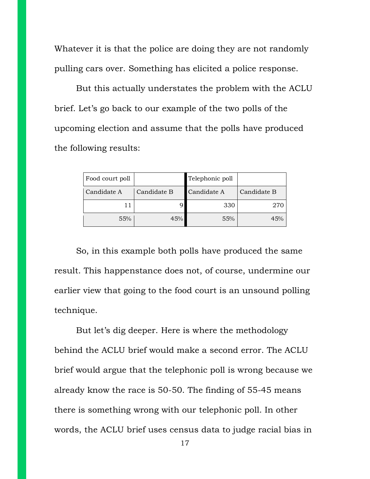Whatever it is that the police are doing they are not randomly pulling cars over. Something has elicited a police response.

But this actually understates the problem with the ACLU brief. Let's go back to our example of the two polls of the upcoming election and assume that the polls have produced the following results:

| Food court poll |             | Telephonic poll |             |
|-----------------|-------------|-----------------|-------------|
| Candidate A     | Candidate B | Candidate A     | Candidate B |
| 11              |             | 330             |             |
| 55%             | 45%         | 55%             | 45%         |

So, in this example both polls have produced the same result. This happenstance does not, of course, undermine our earlier view that going to the food court is an unsound polling technique.

But let's dig deeper. Here is where the methodology behind the ACLU brief would make a second error. The ACLU brief would argue that the telephonic poll is wrong because we already know the race is 50-50. The finding of 55-45 means there is something wrong with our telephonic poll. In other words, the ACLU brief uses census data to judge racial bias in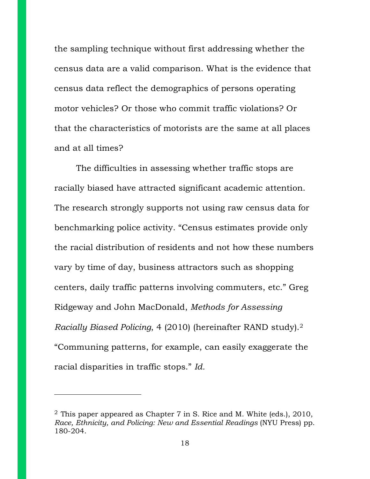the sampling technique without first addressing whether the census data are a valid comparison. What is the evidence that census data reflect the demographics of persons operating motor vehicles? Or those who commit traffic violations? Or that the characteristics of motorists are the same at all places and at all times?

The difficulties in assessing whether traffic stops are racially biased have attracted significant academic attention. The research strongly supports not using raw census data for benchmarking police activity. "Census estimates provide only the racial distribution of residents and not how these numbers vary by time of day, business attractors such as shopping centers, daily traffic patterns involving commuters, etc." Greg Ridgeway and John MacDonald, *Methods for Assessing Racially Biased Policing*, 4 (2010) (hereinafter RAND study).<sup>2</sup> "Communing patterns, for example, can easily exaggerate the racial disparities in traffic stops." *Id.*

<sup>&</sup>lt;sup>2</sup> This paper appeared as Chapter 7 in S. Rice and M. White (eds.), 2010, *Race, Ethnicity, and Policing: New and Essential Readings* (NYU Press) pp. 180-204.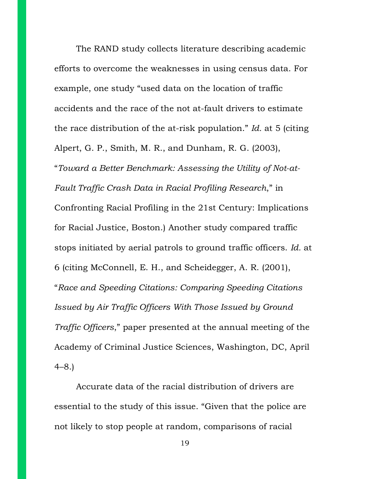The RAND study collects literature describing academic efforts to overcome the weaknesses in using census data. For example, one study "used data on the location of traffic accidents and the race of the not at-fault drivers to estimate the race distribution of the at-risk population." *Id.* at 5 (citing Alpert, G. P., Smith, M. R., and Dunham, R. G. (2003), "*Toward a Better Benchmark: Assessing the Utility of Not-at-Fault Traffic Crash Data in Racial Profiling Research*," in Confronting Racial Profiling in the 21st Century: Implications for Racial Justice, Boston.) Another study compared traffic stops initiated by aerial patrols to ground traffic officers. *Id.* at 6 (citing McConnell, E. H., and Scheidegger, A. R. (2001), "*Race and Speeding Citations: Comparing Speeding Citations Issued by Air Traffic Officers With Those Issued by Ground Traffic Officers*," paper presented at the annual meeting of the Academy of Criminal Justice Sciences, Washington, DC, April 4–8.)

Accurate data of the racial distribution of drivers are essential to the study of this issue. "Given that the police are not likely to stop people at random, comparisons of racial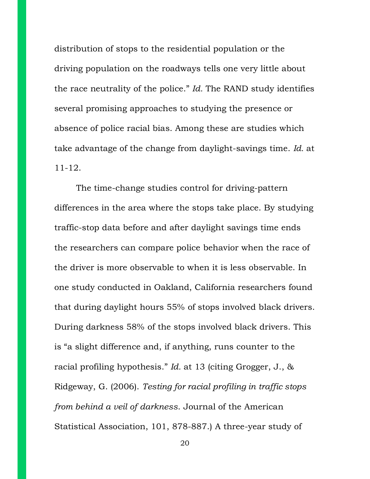distribution of stops to the residential population or the driving population on the roadways tells one very little about the race neutrality of the police." *Id.* The RAND study identifies several promising approaches to studying the presence or absence of police racial bias. Among these are studies which take advantage of the change from daylight-savings time. *Id.* at 11-12.

The time-change studies control for driving-pattern differences in the area where the stops take place. By studying traffic-stop data before and after daylight savings time ends the researchers can compare police behavior when the race of the driver is more observable to when it is less observable. In one study conducted in Oakland, California researchers found that during daylight hours 55% of stops involved black drivers. During darkness 58% of the stops involved black drivers. This is "a slight difference and, if anything, runs counter to the racial profiling hypothesis." *Id.* at 13 (citing Grogger, J., & Ridgeway, G. (2006). *Testing for racial profiling in traffic stops from behind a veil of darkness*. Journal of the American Statistical Association, 101, 878-887.) A three-year study of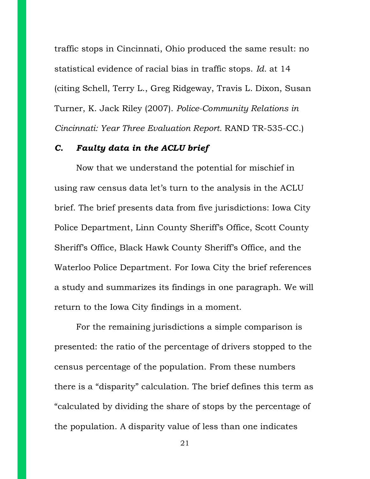traffic stops in Cincinnati, Ohio produced the same result: no statistical evidence of racial bias in traffic stops. *Id.* at 14 (citing Schell, Terry L., Greg Ridgeway, Travis L. Dixon, Susan Turner, K. Jack Riley (2007). *Police-Community Relations in Cincinnati: Year Three Evaluation Report.* RAND TR-535-CC.)

#### *C. Faulty data in the ACLU brief*

Now that we understand the potential for mischief in using raw census data let's turn to the analysis in the ACLU brief. The brief presents data from five jurisdictions: Iowa City Police Department, Linn County Sheriff's Office, Scott County Sheriff's Office, Black Hawk County Sheriff's Office, and the Waterloo Police Department. For Iowa City the brief references a study and summarizes its findings in one paragraph. We will return to the Iowa City findings in a moment.

For the remaining jurisdictions a simple comparison is presented: the ratio of the percentage of drivers stopped to the census percentage of the population. From these numbers there is a "disparity" calculation. The brief defines this term as "calculated by dividing the share of stops by the percentage of the population. A disparity value of less than one indicates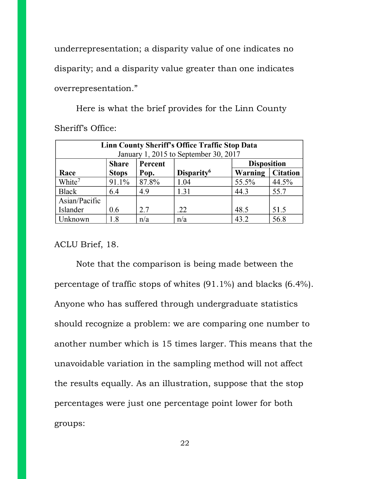underrepresentation; a disparity value of one indicates no disparity; and a disparity value greater than one indicates overrepresentation."

Here is what the brief provides for the Linn County Sheriff's Office:

| Linn County Sheriff's Office Traffic Stop Data |                                       |       |                        |         |                 |  |
|------------------------------------------------|---------------------------------------|-------|------------------------|---------|-----------------|--|
|                                                | January 1, 2015 to September 30, 2017 |       |                        |         |                 |  |
| <b>Share</b><br>Percent                        |                                       |       | <b>Disposition</b>     |         |                 |  |
| Race                                           | <b>Stops</b>                          | Pop.  | Disparity <sup>6</sup> | Warning | <b>Citation</b> |  |
| White <sup>7</sup>                             | 91.1%                                 | 87.8% | 1.04                   | 55.5%   | 44.5%           |  |
| <b>Black</b>                                   | 6.4                                   | 4.9   | 1.31                   | 44.3    | 55.7            |  |
| Asian/Pacific                                  |                                       |       |                        |         |                 |  |
| Islander                                       | 0.6                                   | 2.7   | .22                    | 48.5    | 51.5            |  |
| Unknown                                        | 1.8                                   | n/a   | n/a                    | 43.2    | 56.8            |  |

ACLU Brief, 18.

Note that the comparison is being made between the percentage of traffic stops of whites (91.1%) and blacks (6.4%). Anyone who has suffered through undergraduate statistics should recognize a problem: we are comparing one number to another number which is 15 times larger. This means that the unavoidable variation in the sampling method will not affect the results equally. As an illustration, suppose that the stop percentages were just one percentage point lower for both groups: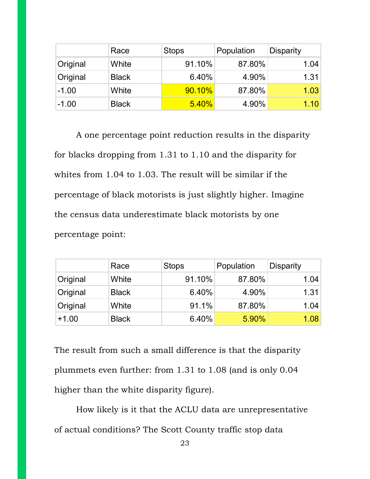|          | Race         | <b>Stops</b> | Population | <b>Disparity</b> |
|----------|--------------|--------------|------------|------------------|
| Original | White        | 91.10%       | 87.80%     | 1.04             |
| Original | <b>Black</b> | 6.40%        | 4.90%      | 1.31             |
| $-1.00$  | White        | 90.10%       | 87.80%     | 1.03             |
| $-1.00$  | <b>Black</b> | 5.40%        | 4.90%      | 1.10             |

A one percentage point reduction results in the disparity for blacks dropping from 1.31 to 1.10 and the disparity for whites from 1.04 to 1.03. The result will be similar if the percentage of black motorists is just slightly higher. Imagine the census data underestimate black motorists by one percentage point:

|          | Race         | <b>Stops</b> | Population | <b>Disparity</b> |
|----------|--------------|--------------|------------|------------------|
| Original | White        | 91.10%       | 87.80%     | 1.04             |
| Original | <b>Black</b> | 6.40%        | 4.90%      | 1.31             |
| Original | White        | 91.1%        | 87.80%     | 1.04             |
| $+1.00$  | <b>Black</b> | 6.40%        | 5.90%      | 1.08             |

The result from such a small difference is that the disparity plummets even further: from 1.31 to 1.08 (and is only 0.04 higher than the white disparity figure).

How likely is it that the ACLU data are unrepresentative of actual conditions? The Scott County traffic stop data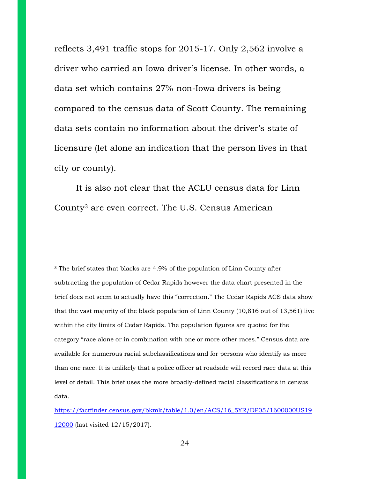reflects 3,491 traffic stops for 2015-17. Only 2,562 involve a driver who carried an Iowa driver's license. In other words, a data set which contains 27% non-Iowa drivers is being compared to the census data of Scott County. The remaining data sets contain no information about the driver's state of licensure (let alone an indication that the person lives in that city or county).

It is also not clear that the ACLU census data for Linn County3 are even correct. The U.S. Census American

<sup>3</sup> The brief states that blacks are 4.9% of the population of Linn County after subtracting the population of Cedar Rapids however the data chart presented in the brief does not seem to actually have this "correction." The Cedar Rapids ACS data show that the vast majority of the black population of Linn County (10,816 out of 13,561) live within the city limits of Cedar Rapids. The population figures are quoted for the category "race alone or in combination with one or more other races." Census data are available for numerous racial subclassifications and for persons who identify as more than one race. It is unlikely that a police officer at roadside will record race data at this level of detail. This brief uses the more broadly-defined racial classifications in census data.

[https://factfinder.census.gov/bkmk/table/1.0/en/ACS/16\\_5YR/DP05/1600000US19](https://factfinder.census.gov/bkmk/table/1.0/en/ACS/16_5YR/DP05/1600000US19) 12000 (last visited 12/15/2017).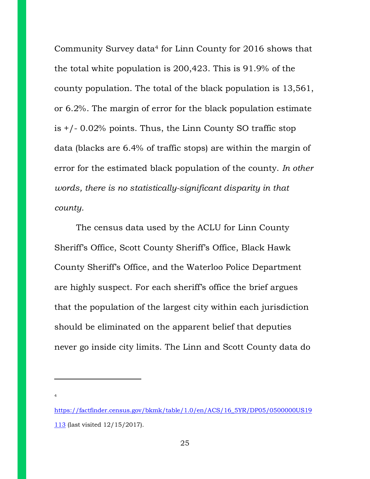Community Survey data4 for Linn County for 2016 shows that the total white population is 200,423. This is 91.9% of the county population. The total of the black population is 13,561, or 6.2%. The margin of error for the black population estimate is  $+/- 0.02\%$  points. Thus, the Linn County SO traffic stop data (blacks are 6.4% of traffic stops) are within the margin of error for the estimated black population of the county. *In other words, there is no statistically-significant disparity in that county.*

The census data used by the ACLU for Linn County Sheriff's Office, Scott County Sheriff's Office, Black Hawk County Sheriff's Office, and the Waterloo Police Department are highly suspect. For each sheriff's office the brief argues that the population of the largest city within each jurisdiction should be eliminated on the apparent belief that deputies never go inside city limits. The Linn and Scott County data do

[https://factfinder.census.gov/bkmk/table/1.0/en/ACS/16\\_5YR/DP05/0500000US19](https://factfinder.census.gov/bkmk/table/1.0/en/ACS/16_5YR/DP05/0500000US19) 113 (last visited 12/15/2017).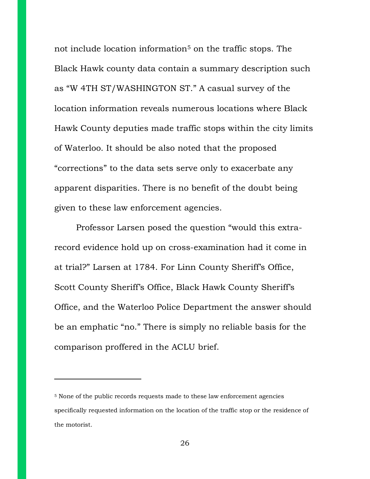not include location information<sup>5</sup> on the traffic stops. The Black Hawk county data contain a summary description such as "W 4TH ST/WASHINGTON ST." A casual survey of the location information reveals numerous locations where Black Hawk County deputies made traffic stops within the city limits of Waterloo. It should be also noted that the proposed "corrections" to the data sets serve only to exacerbate any apparent disparities. There is no benefit of the doubt being given to these law enforcement agencies.

Professor Larsen posed the question "would this extrarecord evidence hold up on cross-examination had it come in at trial?" Larsen at 1784. For Linn County Sheriff's Office, Scott County Sheriff's Office, Black Hawk County Sheriff's Office, and the Waterloo Police Department the answer should be an emphatic "no." There is simply no reliable basis for the comparison proffered in the ACLU brief.

<sup>5</sup> None of the public records requests made to these law enforcement agencies specifically requested information on the location of the traffic stop or the residence of the motorist.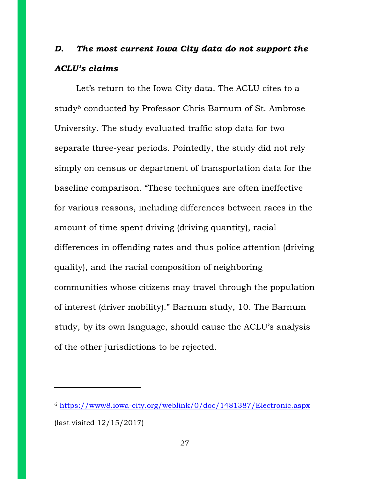## *D. The most current Iowa City data do not support the ACLU's claims*

Let's return to the Iowa City data. The ACLU cites to a study<sup>6</sup> conducted by Professor Chris Barnum of St. Ambrose University. The study evaluated traffic stop data for two separate three-year periods. Pointedly, the study did not rely simply on census or department of transportation data for the baseline comparison. "These techniques are often ineffective for various reasons, including differences between races in the amount of time spent driving (driving quantity), racial differences in offending rates and thus police attention (driving quality), and the racial composition of neighboring communities whose citizens may travel through the population of interest (driver mobility)." Barnum study, 10. The Barnum study, by its own language, should cause the ACLU's analysis of the other jurisdictions to be rejected.

<sup>6</sup> <https://www8.iowa-city.org/weblink/0/doc/1481387/Electronic.aspx> (last visited 12/15/2017)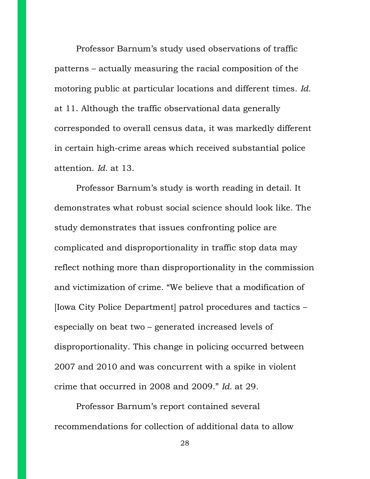Professor Barnum's study used observations of traffic patterns – actually measuring the racial composition of the motoring public at particular locations and different times. *Id.* at 11. Although the traffic observational data generally corresponded to overall census data, it was markedly different in certain high-crime areas which received substantial police attention. *Id.* at 13.

Professor Barnum's study is worth reading in detail. It demonstrates what robust social science should look like. The study demonstrates that issues confronting police are complicated and disproportionality in traffic stop data may reflect nothing more than disproportionality in the commission and victimization of crime. "We believe that a modification of [Iowa City Police Department] patrol procedures and tactics – especially on beat two – generated increased levels of disproportionality. This change in policing occurred between 2007 and 2010 and was concurrent with a spike in violent crime that occurred in 2008 and 2009." *Id.* at 29.

Professor Barnum's report contained several recommendations for collection of additional data to allow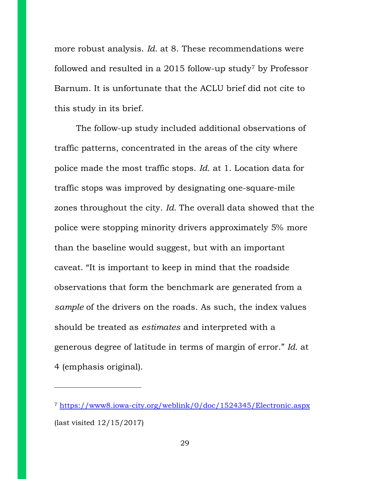more robust analysis. *Id.* at 8. These recommendations were followed and resulted in a 2015 follow-up study<sup>7</sup> by Professor Barnum. It is unfortunate that the ACLU brief did not cite to this study in its brief.

The follow-up study included additional observations of traffic patterns, concentrated in the areas of the city where police made the most traffic stops. *Id*. at 1. Location data for traffic stops was improved by designating one-square-mile zones throughout the city. *Id.* The overall data showed that the police were stopping minority drivers approximately 5% more than the baseline would suggest, but with an important caveat. "It is important to keep in mind that the roadside observations that form the benchmark are generated from a *sample* of the drivers on the roads. As such, the index values should be treated as *estimates* and interpreted with a generous degree of latitude in terms of margin of error." *Id.* at 4 (emphasis original).

<sup>7</sup> <https://www8.iowa-city.org/weblink/0/doc/1524345/Electronic.aspx> (last visited 12/15/2017)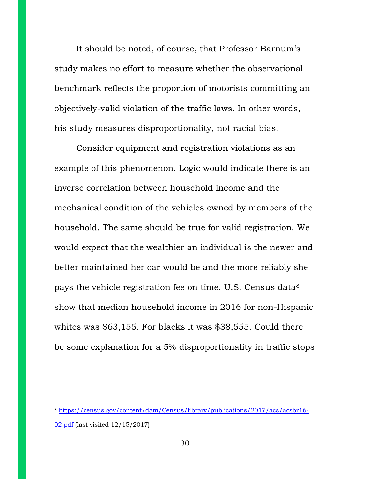It should be noted, of course, that Professor Barnum's study makes no effort to measure whether the observational benchmark reflects the proportion of motorists committing an objectively-valid violation of the traffic laws. In other words, his study measures disproportionality, not racial bias.

Consider equipment and registration violations as an example of this phenomenon. Logic would indicate there is an inverse correlation between household income and the mechanical condition of the vehicles owned by members of the household. The same should be true for valid registration. We would expect that the wealthier an individual is the newer and better maintained her car would be and the more reliably she pays the vehicle registration fee on time. U.S. Census data<sup>8</sup> show that median household income in 2016 for non-Hispanic whites was \$63,155. For blacks it was \$38,555. Could there be some explanation for a 5% disproportionality in traffic stops

<sup>8</sup> <https://census.gov/content/dam/Census/library/publications/2017/acs/acsbr16-> 02.pdf (last visited 12/15/2017)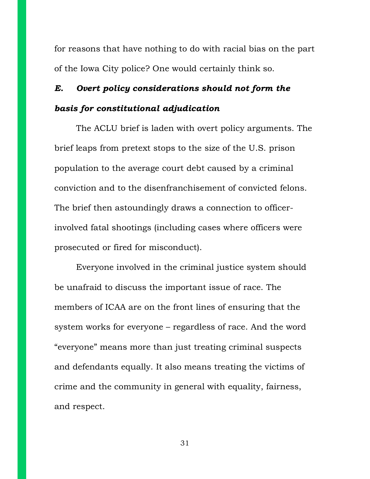for reasons that have nothing to do with racial bias on the part of the Iowa City police? One would certainly think so.

## *E. Overt policy considerations should not form the basis for constitutional adjudication*

The ACLU brief is laden with overt policy arguments. The brief leaps from pretext stops to the size of the U.S. prison population to the average court debt caused by a criminal conviction and to the disenfranchisement of convicted felons. The brief then astoundingly draws a connection to officerinvolved fatal shootings (including cases where officers were prosecuted or fired for misconduct).

Everyone involved in the criminal justice system should be unafraid to discuss the important issue of race. The members of ICAA are on the front lines of ensuring that the system works for everyone – regardless of race. And the word "everyone" means more than just treating criminal suspects and defendants equally. It also means treating the victims of crime and the community in general with equality, fairness, and respect.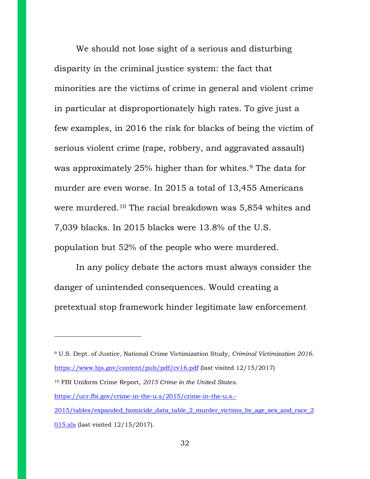We should not lose sight of a serious and disturbing disparity in the criminal justice system: the fact that minorities are the victims of crime in general and violent crime in particular at disproportionately high rates. To give just a few examples, in 2016 the risk for blacks of being the victim of serious violent crime (rape, robbery, and aggravated assault) was approximately 25% higher than for whites.<sup>9</sup> The data for murder are even worse. In 2015 a total of 13,455 Americans were murdered.<sup>10</sup> The racial breakdown was 5,854 whites and 7,039 blacks. In 2015 blacks were 13.8% of the U.S. population but 52% of the people who were murdered.

In any policy debate the actors must always consider the danger of unintended consequences. Would creating a pretextual stop framework hinder legitimate law enforcement

<sup>9</sup> U.S. Dept. of Justice, National Crime Victimization Study, *Criminal Victimization 2016*. <https://www.bjs.gov/content/pub/pdf/cv16.pdf>(last visited 12/15/2017) <sup>10</sup> FBI Uniform Crime Report, *2015 Crime in the United States*. <https://ucr.fbi.gov/crime-in-the-u.s/2015/crime-in-the-u.s.-> 2015/tables/expanded\_homicide\_data\_table\_2\_murder\_victims\_by\_age\_sex\_and\_race\_2 015.xls (last visited 12/15/2017).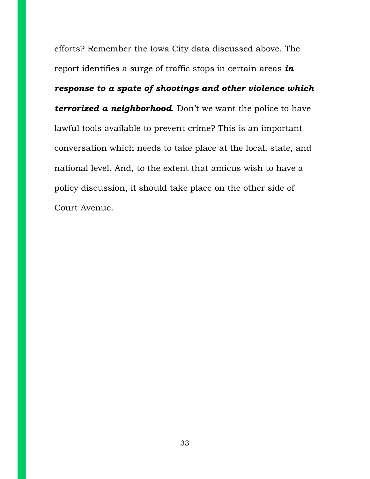efforts? Remember the Iowa City data discussed above. The report identifies a surge of traffic stops in certain areas *in response to a spate of shootings and other violence which terrorized a neighborhood*. Don't we want the police to have lawful tools available to prevent crime? This is an important conversation which needs to take place at the local, state, and national level. And, to the extent that amicus wish to have a policy discussion, it should take place on the other side of Court Avenue.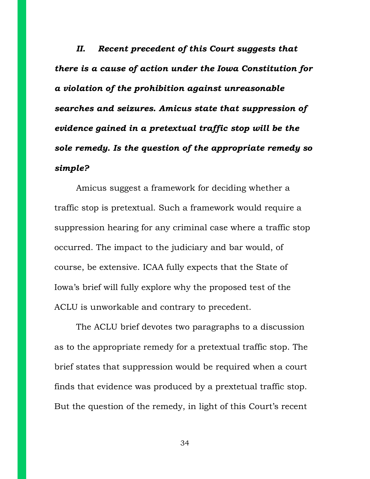*II. Recent precedent of this Court suggests that there is a cause of action under the Iowa Constitution for a violation of the prohibition against unreasonable searches and seizures. Amicus state that suppression of evidence gained in a pretextual traffic stop will be the sole remedy. Is the question of the appropriate remedy so simple?*

Amicus suggest a framework for deciding whether a traffic stop is pretextual. Such a framework would require a suppression hearing for any criminal case where a traffic stop occurred. The impact to the judiciary and bar would, of course, be extensive. ICAA fully expects that the State of Iowa's brief will fully explore why the proposed test of the ACLU is unworkable and contrary to precedent.

The ACLU brief devotes two paragraphs to a discussion as to the appropriate remedy for a pretextual traffic stop. The brief states that suppression would be required when a court finds that evidence was produced by a prextetual traffic stop. But the question of the remedy, in light of this Court's recent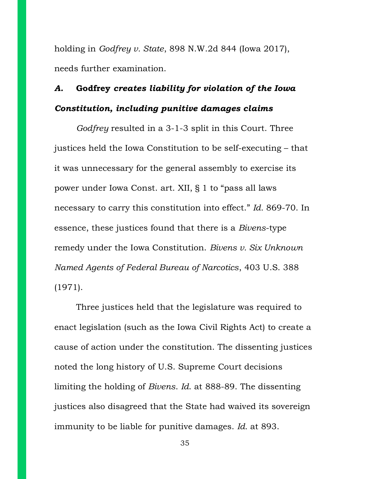holding in *Godfrey v. State*, 898 N.W.2d 844 (Iowa 2017), needs further examination.

## *A.* **Godfrey** *creates liability for violation of the Iowa Constitution, including punitive damages claims*

*Godfrey* resulted in a 3-1-3 split in this Court. Three justices held the Iowa Constitution to be self-executing – that it was unnecessary for the general assembly to exercise its power under Iowa Const. art. XII, § 1 to "pass all laws necessary to carry this constitution into effect." *Id.* 869-70. In essence, these justices found that there is a *Bivens*-type remedy under the Iowa Constitution. *Bivens v. Six Unknown Named Agents of Federal Bureau of Narcotics*, 403 U.S. 388 (1971).

Three justices held that the legislature was required to enact legislation (such as the Iowa Civil Rights Act) to create a cause of action under the constitution. The dissenting justices noted the long history of U.S. Supreme Court decisions limiting the holding of *Bivens*. *Id*. at 888-89. The dissenting justices also disagreed that the State had waived its sovereign immunity to be liable for punitive damages. *Id.* at 893.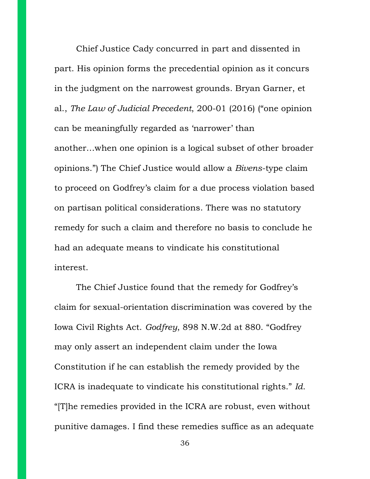Chief Justice Cady concurred in part and dissented in part. His opinion forms the precedential opinion as it concurs in the judgment on the narrowest grounds. Bryan Garner, et al., *The Law of Judicial Precedent*, 200-01 (2016) ("one opinion can be meaningfully regarded as 'narrower' than another…when one opinion is a logical subset of other broader opinions.") The Chief Justice would allow a *Bivens*-type claim to proceed on Godfrey's claim for a due process violation based on partisan political considerations. There was no statutory remedy for such a claim and therefore no basis to conclude he had an adequate means to vindicate his constitutional interest.

The Chief Justice found that the remedy for Godfrey's claim for sexual-orientation discrimination was covered by the Iowa Civil Rights Act. *Godfrey*, 898 N.W.2d at 880. "Godfrey may only assert an independent claim under the Iowa Constitution if he can establish the remedy provided by the ICRA is inadequate to vindicate his constitutional rights." *Id.* "[T]he remedies provided in the ICRA are robust, even without punitive damages. I find these remedies suffice as an adequate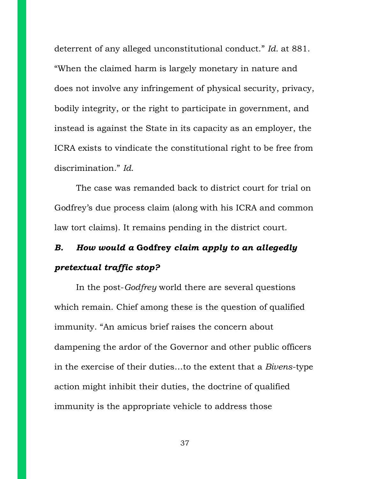deterrent of any alleged unconstitutional conduct." *Id.* at 881. "When the claimed harm is largely monetary in nature and does not involve any infringement of physical security, privacy, bodily integrity, or the right to participate in government, and instead is against the State in its capacity as an employer, the ICRA exists to vindicate the constitutional right to be free from discrimination." *Id*.

The case was remanded back to district court for trial on Godfrey's due process claim (along with his ICRA and common law tort claims). It remains pending in the district court.

## *B. How would a* **Godfrey** *claim apply to an allegedly pretextual traffic stop?*

In the post-*Godfrey* world there are several questions which remain. Chief among these is the question of qualified immunity. "An amicus brief raises the concern about dampening the ardor of the Governor and other public officers in the exercise of their duties…to the extent that a *Bivens*-type action might inhibit their duties, the doctrine of qualified immunity is the appropriate vehicle to address those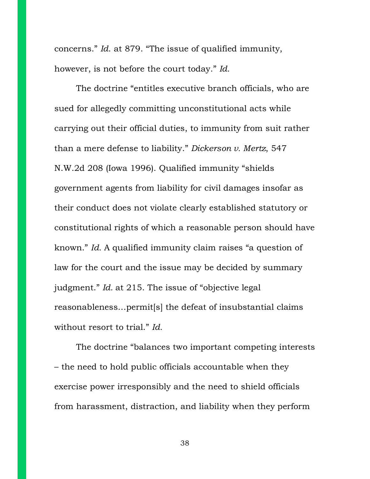concerns." *Id*. at 879. "The issue of qualified immunity, however, is not before the court today." *Id*.

The doctrine "entitles executive branch officials, who are sued for allegedly committing unconstitutional acts while carrying out their official duties, to immunity from suit rather than a mere defense to liability." *Dickerson v. Mertz*, 547 N.W.2d 208 (Iowa 1996). Qualified immunity "shields government agents from liability for civil damages insofar as their conduct does not violate clearly established statutory or constitutional rights of which a reasonable person should have known." *Id.* A qualified immunity claim raises "a question of law for the court and the issue may be decided by summary judgment." *Id.* at 215. The issue of "objective legal reasonableness…permit[s] the defeat of insubstantial claims without resort to trial." *Id.*

The doctrine "balances two important competing interests – the need to hold public officials accountable when they exercise power irresponsibly and the need to shield officials from harassment, distraction, and liability when they perform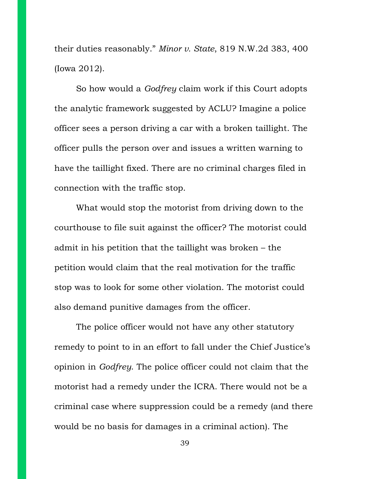their duties reasonably." *Minor v. State*, 819 N.W.2d 383, 400 (Iowa 2012).

So how would a *Godfrey* claim work if this Court adopts the analytic framework suggested by ACLU? Imagine a police officer sees a person driving a car with a broken taillight. The officer pulls the person over and issues a written warning to have the taillight fixed. There are no criminal charges filed in connection with the traffic stop.

What would stop the motorist from driving down to the courthouse to file suit against the officer? The motorist could admit in his petition that the taillight was broken – the petition would claim that the real motivation for the traffic stop was to look for some other violation. The motorist could also demand punitive damages from the officer.

The police officer would not have any other statutory remedy to point to in an effort to fall under the Chief Justice's opinion in *Godfrey*. The police officer could not claim that the motorist had a remedy under the ICRA. There would not be a criminal case where suppression could be a remedy (and there would be no basis for damages in a criminal action). The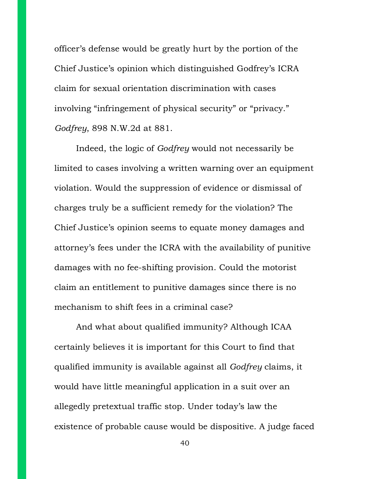officer's defense would be greatly hurt by the portion of the Chief Justice's opinion which distinguished Godfrey's ICRA claim for sexual orientation discrimination with cases involving "infringement of physical security" or "privacy." *Godfrey*, 898 N.W.2d at 881.

Indeed, the logic of *Godfrey* would not necessarily be limited to cases involving a written warning over an equipment violation. Would the suppression of evidence or dismissal of charges truly be a sufficient remedy for the violation? The Chief Justice's opinion seems to equate money damages and attorney's fees under the ICRA with the availability of punitive damages with no fee-shifting provision. Could the motorist claim an entitlement to punitive damages since there is no mechanism to shift fees in a criminal case?

And what about qualified immunity? Although ICAA certainly believes it is important for this Court to find that qualified immunity is available against all *Godfrey* claims, it would have little meaningful application in a suit over an allegedly pretextual traffic stop. Under today's law the existence of probable cause would be dispositive. A judge faced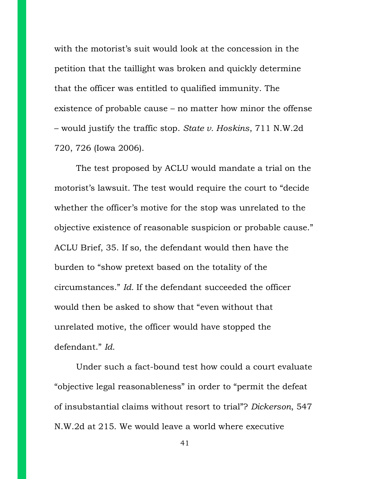with the motorist's suit would look at the concession in the petition that the taillight was broken and quickly determine that the officer was entitled to qualified immunity. The existence of probable cause – no matter how minor the offense – would justify the traffic stop. *State v. Hoskins*, 711 N.W.2d 720, 726 (Iowa 2006).

The test proposed by ACLU would mandate a trial on the motorist's lawsuit. The test would require the court to "decide whether the officer's motive for the stop was unrelated to the objective existence of reasonable suspicion or probable cause." ACLU Brief, 35. If so, the defendant would then have the burden to "show pretext based on the totality of the circumstances." *Id.* If the defendant succeeded the officer would then be asked to show that "even without that unrelated motive, the officer would have stopped the defendant." *Id*.

Under such a fact-bound test how could a court evaluate "objective legal reasonableness" in order to "permit the defeat of insubstantial claims without resort to trial"? *Dickerson*, 547 N.W.2d at 215. We would leave a world where executive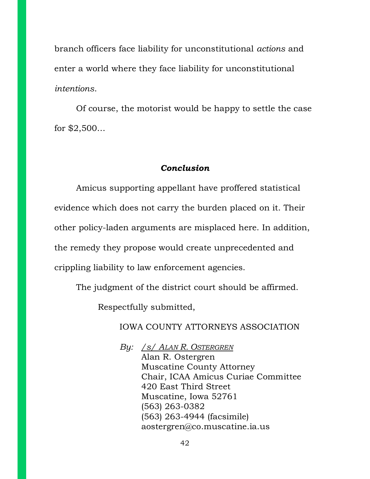branch officers face liability for unconstitutional *actions* and enter a world where they face liability for unconstitutional *intentions*.

Of course, the motorist would be happy to settle the case for \$2,500…

### *Conclusion*

Amicus supporting appellant have proffered statistical evidence which does not carry the burden placed on it. Their other policy-laden arguments are misplaced here. In addition, the remedy they propose would create unprecedented and crippling liability to law enforcement agencies.

The judgment of the district court should be affirmed.

Respectfully submitted,

IOWA COUNTY ATTORNEYS ASSOCIATION

*By: /s/ ALAN R. OSTERGREN* Alan R. Ostergren Muscatine County Attorney Chair, ICAA Amicus Curiae Committee 420 East Third Street Muscatine, Iowa 52761 (563) 263-0382 (563) 263-4944 (facsimile) [aostergren@co.muscatine.ia.us](mailto:aostergren@co.muscatine.ia.us)